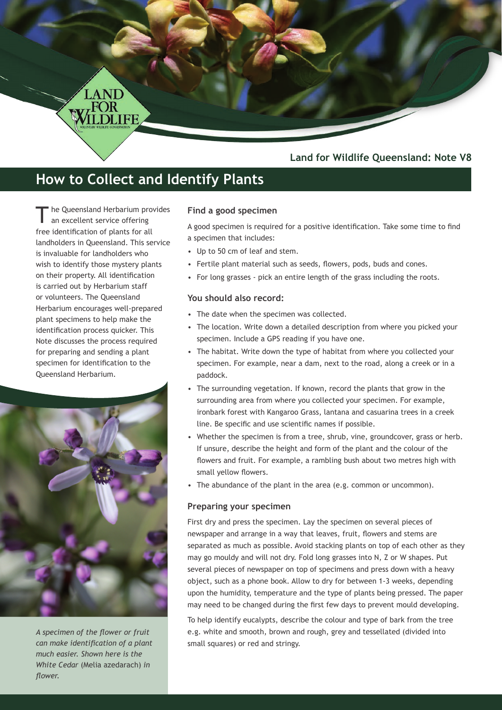# **Land for Wildlife Queensland: Note V8**

# **How to Collect and Identify Plants**

he Queensland Herbarium provides an excellent service offering free identification of plants for all landholders in Queensland. This service is invaluable for landholders who wish to identify those mystery plants on their property. All identification is carried out by Herbarium staff or volunteers. The Queensland Herbarium encourages well-prepared plant specimens to help make the identification process quicker. This Note discusses the process required for preparing and sending a plant specimen for identification to the Queensland Herbarium.

LAND



*A specimen of the flower or fruit can make identification of a plant much easier. Shown here is the White Cedar* (Melia azedarach) *in flower.* 

#### **Find a good specimen**

A good specimen is required for a positive identification. Take some time to find a specimen that includes:

- Up to 50 cm of leaf and stem.
- Fertile plant material such as seeds, flowers, pods, buds and cones.
- For long grasses pick an entire length of the grass including the roots.

#### **You should also record:**

- The date when the specimen was collected.
- The location. Write down a detailed description from where you picked your specimen. Include a GPS reading if you have one.
- The habitat. Write down the type of habitat from where you collected your specimen. For example, near a dam, next to the road, along a creek or in a paddock.
- The surrounding vegetation. If known, record the plants that grow in the surrounding area from where you collected your specimen. For example, ironbark forest with Kangaroo Grass, lantana and casuarina trees in a creek line. Be specific and use scientific names if possible.
- Whether the specimen is from a tree, shrub, vine, groundcover, grass or herb. If unsure, describe the height and form of the plant and the colour of the flowers and fruit. For example, a rambling bush about two metres high with small yellow flowers.
- The abundance of the plant in the area (e.g. common or uncommon).

## **Preparing your specimen**

First dry and press the specimen. Lay the specimen on several pieces of newspaper and arrange in a way that leaves, fruit, flowers and stems are separated as much as possible. Avoid stacking plants on top of each other as they may go mouldy and will not dry. Fold long grasses into N, Z or W shapes. Put several pieces of newspaper on top of specimens and press down with a heavy object, such as a phone book. Allow to dry for between 1-3 weeks, depending upon the humidity, temperature and the type of plants being pressed. The paper may need to be changed during the first few days to prevent mould developing.

To help identify eucalypts, describe the colour and type of bark from the tree e.g. white and smooth, brown and rough, grey and tessellated (divided into small squares) or red and stringy.